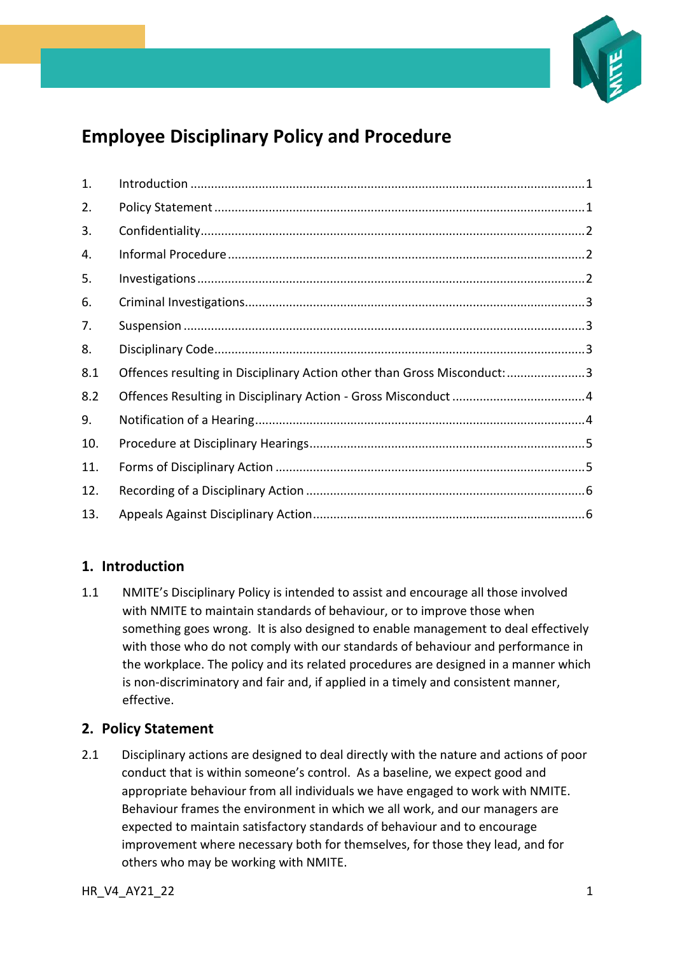

# **Employee Disciplinary Policy and Procedure**

| 1.  |                                                                          |  |
|-----|--------------------------------------------------------------------------|--|
| 2.  |                                                                          |  |
| 3.  |                                                                          |  |
| 4.  |                                                                          |  |
| 5.  |                                                                          |  |
| 6.  |                                                                          |  |
| 7.  |                                                                          |  |
| 8.  |                                                                          |  |
| 8.1 | Offences resulting in Disciplinary Action other than Gross Misconduct: 3 |  |
| 8.2 |                                                                          |  |
| 9.  |                                                                          |  |
| 10. |                                                                          |  |
| 11. |                                                                          |  |
| 12. |                                                                          |  |
| 13. |                                                                          |  |

## <span id="page-0-0"></span>**1. Introduction**

1.1 NMITE's Disciplinary Policy is intended to assist and encourage all those involved with NMITE to maintain standards of behaviour, or to improve those when something goes wrong. It is also designed to enable management to deal effectively with those who do not comply with our standards of behaviour and performance in the workplace. The policy and its related procedures are designed in a manner which is non-discriminatory and fair and, if applied in a timely and consistent manner, effective.

## <span id="page-0-1"></span>**2. Policy Statement**

2.1 Disciplinary actions are designed to deal directly with the nature and actions of poor conduct that is within someone's control. As a baseline, we expect good and appropriate behaviour from all individuals we have engaged to work with NMITE. Behaviour frames the environment in which we all work, and our managers are expected to maintain satisfactory standards of behaviour and to encourage improvement where necessary both for themselves, for those they lead, and for others who may be working with NMITE.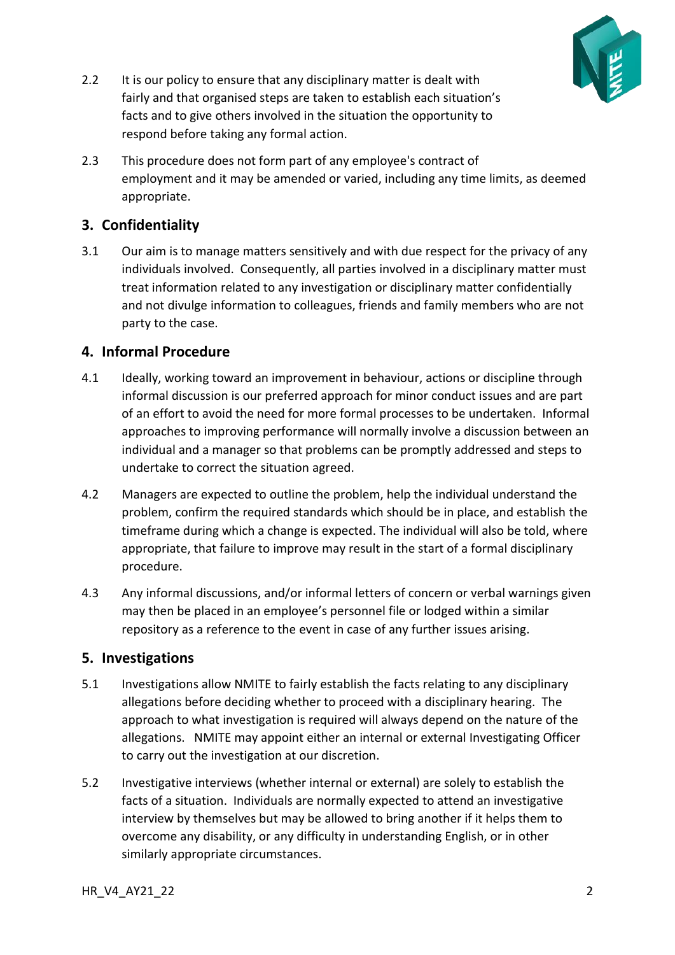

- 2.2 It is our policy to ensure that any disciplinary matter is dealt with fairly and that organised steps are taken to establish each situation's facts and to give others involved in the situation the opportunity to respond before taking any formal action.
- 2.3 This procedure does not form part of any employee's contract of employment and it may be amended or varied, including any time limits, as deemed appropriate.

# <span id="page-1-0"></span>**3. Confidentiality**

3.1 Our aim is to manage matters sensitively and with due respect for the privacy of any individuals involved. Consequently, all parties involved in a disciplinary matter must treat information related to any investigation or disciplinary matter confidentially and not divulge information to colleagues, friends and family members who are not party to the case.

## <span id="page-1-1"></span>**4. Informal Procedure**

- 4.1 Ideally, working toward an improvement in behaviour, actions or discipline through informal discussion is our preferred approach for minor conduct issues and are part of an effort to avoid the need for more formal processes to be undertaken. Informal approaches to improving performance will normally involve a discussion between an individual and a manager so that problems can be promptly addressed and steps to undertake to correct the situation agreed.
- 4.2 Managers are expected to outline the problem, help the individual understand the problem, confirm the required standards which should be in place, and establish the timeframe during which a change is expected. The individual will also be told, where appropriate, that failure to improve may result in the start of a formal disciplinary procedure.
- 4.3 Any informal discussions, and/or informal letters of concern or verbal warnings given may then be placed in an employee's personnel file or lodged within a similar repository as a reference to the event in case of any further issues arising.

#### <span id="page-1-2"></span>**5. Investigations**

- 5.1 Investigations allow NMITE to fairly establish the facts relating to any disciplinary allegations before deciding whether to proceed with a disciplinary hearing. The approach to what investigation is required will always depend on the nature of the allegations. NMITE may appoint either an internal or external Investigating Officer to carry out the investigation at our discretion.
- 5.2 Investigative interviews (whether internal or external) are solely to establish the facts of a situation. Individuals are normally expected to attend an investigative interview by themselves but may be allowed to bring another if it helps them to overcome any disability, or any difficulty in understanding English, or in other similarly appropriate circumstances.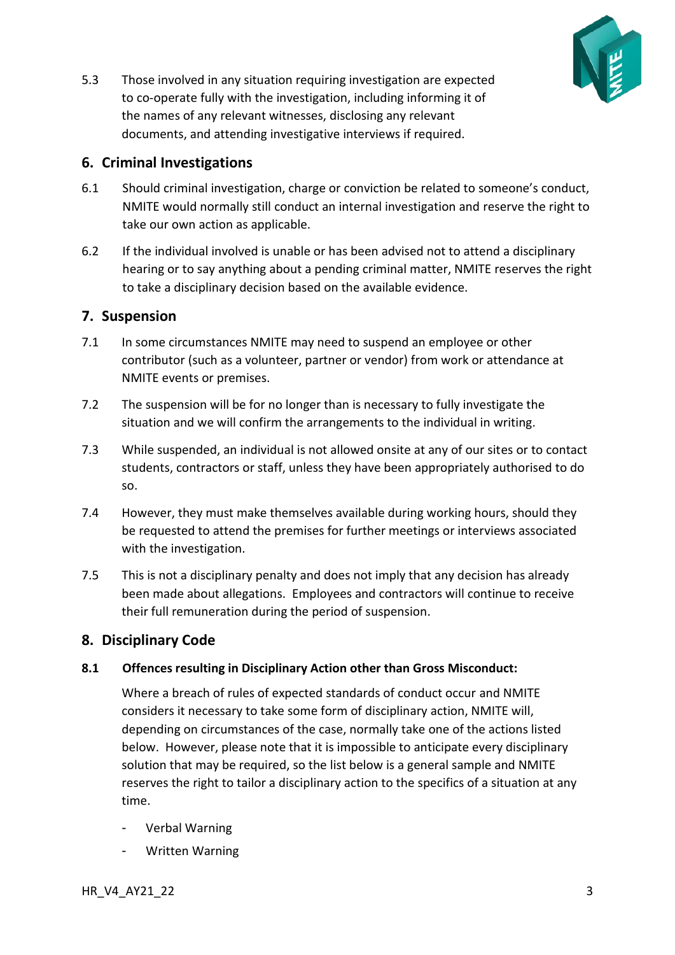

5.3 Those involved in any situation requiring investigation are expected to co-operate fully with the investigation, including informing it of the names of any relevant witnesses, disclosing any relevant documents, and attending investigative interviews if required.

#### <span id="page-2-0"></span>**6. Criminal Investigations**

- 6.1 Should criminal investigation, charge or conviction be related to someone's conduct, NMITE would normally still conduct an internal investigation and reserve the right to take our own action as applicable.
- 6.2 If the individual involved is unable or has been advised not to attend a disciplinary hearing or to say anything about a pending criminal matter, NMITE reserves the right to take a disciplinary decision based on the available evidence.

## <span id="page-2-1"></span>**7. Suspension**

- 7.1 In some circumstances NMITE may need to suspend an employee or other contributor (such as a volunteer, partner or vendor) from work or attendance at NMITE events or premises.
- 7.2 The suspension will be for no longer than is necessary to fully investigate the situation and we will confirm the arrangements to the individual in writing.
- 7.3 While suspended, an individual is not allowed onsite at any of our sites or to contact students, contractors or staff, unless they have been appropriately authorised to do so.
- 7.4 However, they must make themselves available during working hours, should they be requested to attend the premises for further meetings or interviews associated with the investigation.
- 7.5 This is not a disciplinary penalty and does not imply that any decision has already been made about allegations. Employees and contractors will continue to receive their full remuneration during the period of suspension.

#### <span id="page-2-2"></span>**8. Disciplinary Code**

#### <span id="page-2-3"></span>**8.1 Offences resulting in Disciplinary Action other than Gross Misconduct:**

Where a breach of rules of expected standards of conduct occur and NMITE considers it necessary to take some form of disciplinary action, NMITE will, depending on circumstances of the case, normally take one of the actions listed below. However, please note that it is impossible to anticipate every disciplinary solution that may be required, so the list below is a general sample and NMITE reserves the right to tailor a disciplinary action to the specifics of a situation at any time.

- Verbal Warning
- Written Warning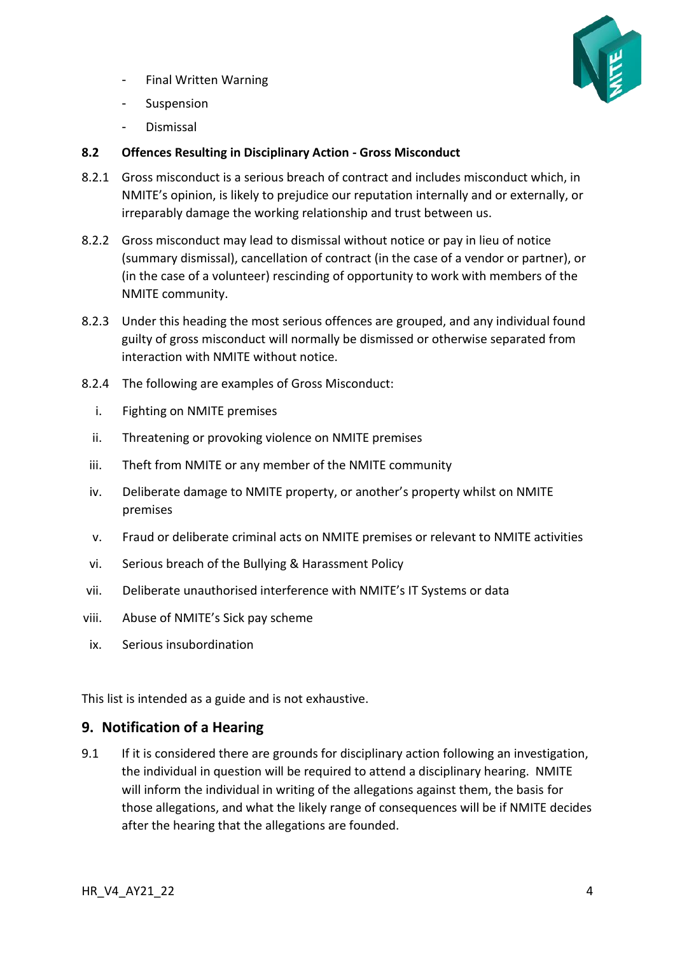- Final Written Warning



- Suspension
- **Dismissal**

#### <span id="page-3-0"></span>**8.2 Offences Resulting in Disciplinary Action - Gross Misconduct**

- 8.2.1 Gross misconduct is a serious breach of contract and includes misconduct which, in NMITE's opinion, is likely to prejudice our reputation internally and or externally, or irreparably damage the working relationship and trust between us.
- 8.2.2 Gross misconduct may lead to dismissal without notice or pay in lieu of notice (summary dismissal), cancellation of contract (in the case of a vendor or partner), or (in the case of a volunteer) rescinding of opportunity to work with members of the NMITE community.
- 8.2.3 Under this heading the most serious offences are grouped, and any individual found guilty of gross misconduct will normally be dismissed or otherwise separated from interaction with NMITE without notice.
- 8.2.4 The following are examples of Gross Misconduct:
	- i. Fighting on NMITE premises
	- ii. Threatening or provoking violence on NMITE premises
	- iii. Theft from NMITE or any member of the NMITE community
	- iv. Deliberate damage to NMITE property, or another's property whilst on NMITE premises
	- v. Fraud or deliberate criminal acts on NMITE premises or relevant to NMITE activities
	- vi. Serious breach of the Bullying & Harassment Policy
- vii. Deliberate unauthorised interference with NMITE's IT Systems or data
- viii. Abuse of NMITE's Sick pay scheme
- ix. Serious insubordination

This list is intended as a guide and is not exhaustive.

#### <span id="page-3-1"></span>**9. Notification of a Hearing**

9.1 If it is considered there are grounds for disciplinary action following an investigation, the individual in question will be required to attend a disciplinary hearing. NMITE will inform the individual in writing of the allegations against them, the basis for those allegations, and what the likely range of consequences will be if NMITE decides after the hearing that the allegations are founded.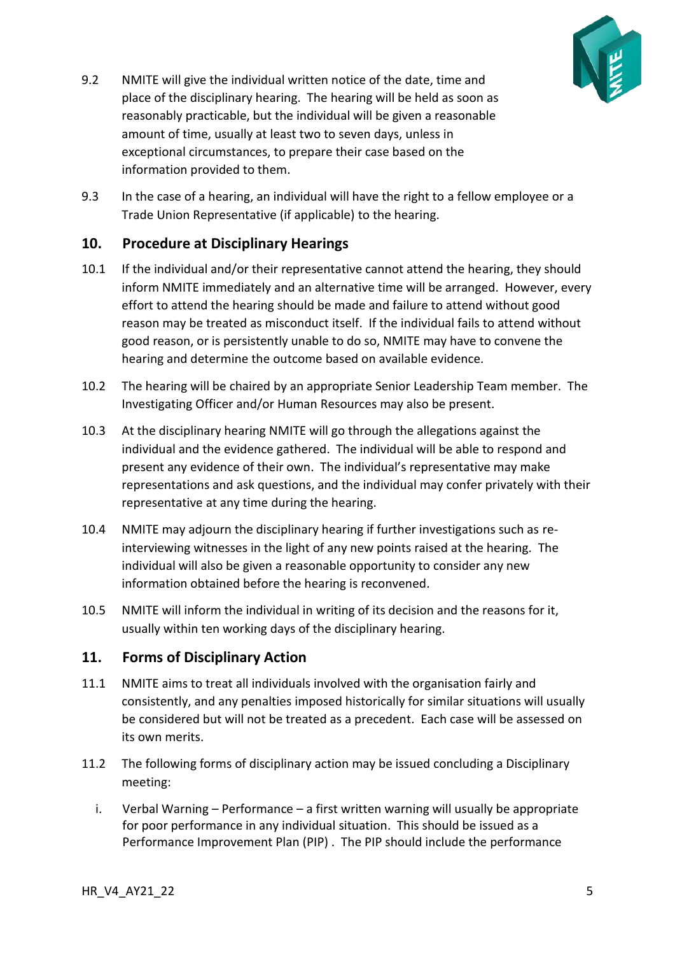<span id="page-4-0"></span>

- 9.2 NMITE will give the individual written notice of the date, time and place of the disciplinary hearing. The hearing will be held as soon as reasonably practicable, but the individual will be given a reasonable amount of time, usually at least two to seven days, unless in exceptional circumstances, to prepare their case based on the information provided to them.
- 9.3 In the case of a hearing, an individual will have the right to a fellow employee or a Trade Union Representative (if applicable) to the hearing.

#### **10. Procedure at Disciplinary Hearings**

- 10.1 If the individual and/or their representative cannot attend the hearing, they should inform NMITE immediately and an alternative time will be arranged. However, every effort to attend the hearing should be made and failure to attend without good reason may be treated as misconduct itself. If the individual fails to attend without good reason, or is persistently unable to do so, NMITE may have to convene the hearing and determine the outcome based on available evidence.
- 10.2 The hearing will be chaired by an appropriate Senior Leadership Team member. The Investigating Officer and/or Human Resources may also be present.
- 10.3 At the disciplinary hearing NMITE will go through the allegations against the individual and the evidence gathered. The individual will be able to respond and present any evidence of their own. The individual's representative may make representations and ask questions, and the individual may confer privately with their representative at any time during the hearing.
- 10.4 NMITE may adjourn the disciplinary hearing if further investigations such as reinterviewing witnesses in the light of any new points raised at the hearing. The individual will also be given a reasonable opportunity to consider any new information obtained before the hearing is reconvened.
- 10.5 NMITE will inform the individual in writing of its decision and the reasons for it, usually within ten working days of the disciplinary hearing.

#### <span id="page-4-1"></span>**11. Forms of Disciplinary Action**

- 11.1 NMITE aims to treat all individuals involved with the organisation fairly and consistently, and any penalties imposed historically for similar situations will usually be considered but will not be treated as a precedent. Each case will be assessed on its own merits.
- 11.2 The following forms of disciplinary action may be issued concluding a Disciplinary meeting:
	- i. Verbal Warning Performance a first written warning will usually be appropriate for poor performance in any individual situation. This should be issued as a Performance Improvement Plan (PIP) . The PIP should include the performance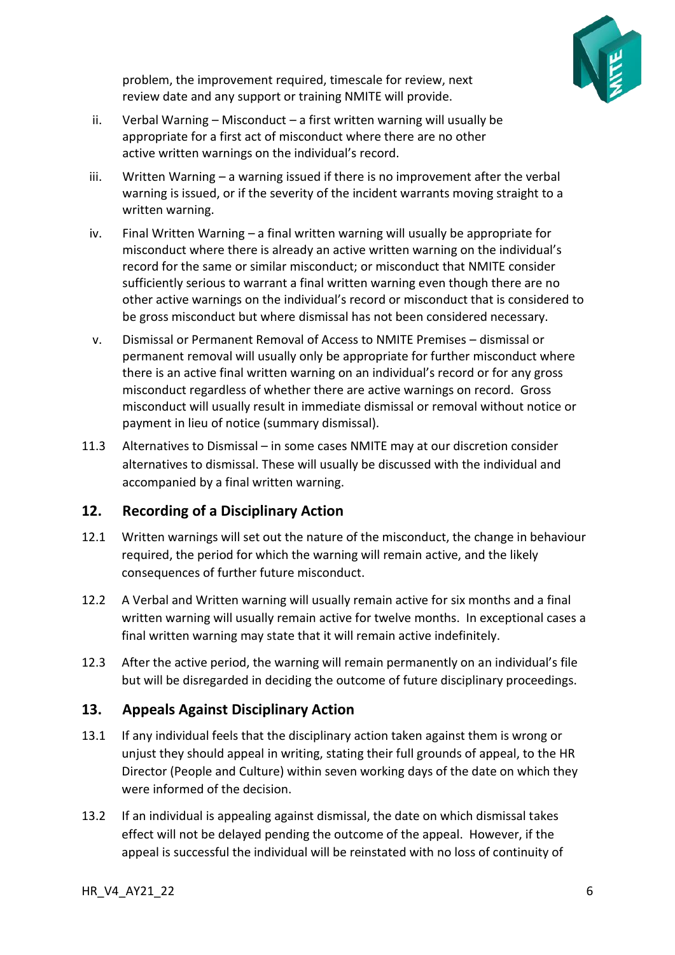

problem, the improvement required, timescale for review, next review date and any support or training NMITE will provide.

- ii. Verbal Warning Misconduct a first written warning will usually be appropriate for a first act of misconduct where there are no other active written warnings on the individual's record.
- iii. Written Warning a warning issued if there is no improvement after the verbal warning is issued, or if the severity of the incident warrants moving straight to a written warning.
- iv. Final Written Warning a final written warning will usually be appropriate for misconduct where there is already an active written warning on the individual's record for the same or similar misconduct; or misconduct that NMITE consider sufficiently serious to warrant a final written warning even though there are no other active warnings on the individual's record or misconduct that is considered to be gross misconduct but where dismissal has not been considered necessary.
- v. Dismissal or Permanent Removal of Access to NMITE Premises dismissal or permanent removal will usually only be appropriate for further misconduct where there is an active final written warning on an individual's record or for any gross misconduct regardless of whether there are active warnings on record. Gross misconduct will usually result in immediate dismissal or removal without notice or payment in lieu of notice (summary dismissal).
- 11.3 Alternatives to Dismissal in some cases NMITE may at our discretion consider alternatives to dismissal. These will usually be discussed with the individual and accompanied by a final written warning.

#### <span id="page-5-0"></span>**12. Recording of a Disciplinary Action**

- 12.1 Written warnings will set out the nature of the misconduct, the change in behaviour required, the period for which the warning will remain active, and the likely consequences of further future misconduct.
- 12.2 A Verbal and Written warning will usually remain active for six months and a final written warning will usually remain active for twelve months. In exceptional cases a final written warning may state that it will remain active indefinitely.
- 12.3 After the active period, the warning will remain permanently on an individual's file but will be disregarded in deciding the outcome of future disciplinary proceedings.

## <span id="page-5-1"></span>**13. Appeals Against Disciplinary Action**

- 13.1 If any individual feels that the disciplinary action taken against them is wrong or unjust they should appeal in writing, stating their full grounds of appeal, to the HR Director (People and Culture) within seven working days of the date on which they were informed of the decision.
- 13.2 If an individual is appealing against dismissal, the date on which dismissal takes effect will not be delayed pending the outcome of the appeal. However, if the appeal is successful the individual will be reinstated with no loss of continuity of